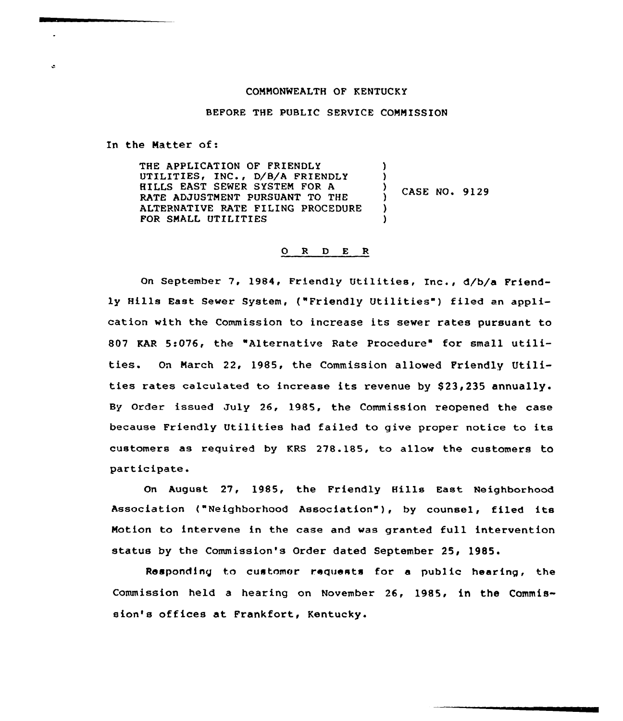#### COMMONWEALTH OF KENTUCKY

BEFORE THE PUBLIC SERVICE COMMISSION

In the Matter of:

 $\ddot{\phantom{a}}$ 

THE APPLICATION OF FRIENDLY UTILITIES, INC., D/B/A FRIENDLY HILLS EAST SEWER SYSTEM FOR A RATE ADJUSTMENT PURSUANT TO THE ALTERNATIVE RATE FILING PROCEDURE FOR SMALL UTILITIES  $\lambda$  $\left\{ \right.$  $\frac{7}{1}$  CASE NO. 9129 )  $\lambda$ 

# 0 <sup>R</sup> <sup>D</sup> E <sup>R</sup>

On September 7, 1984, Friendly Utilities, Inc., d/b/a Friendly Hills East Sewer System, ("Friendly Utilities" ) filed an application with the Commission to increase its sewer rates pursuant to 807 KAR 5:076, the "Alternative Rate Procedure" for small utilities. On Maxch 22, 1985, the Commission allowed Friendly Utilities rates calculated to increase its revenue by \$23,235 annually. By Order issued July 26, 1985, the Commission reopened the case because Friendly Utilities had failed to give proper notice to its customexs as required by KRS 278.185, to allow the customers to participate.

On August 27, 1985, the Friendly Hills East Neighborhood Association <"Neighborhood Association" ), by counsel, filed its Motion to intervene in the case and was granted full intervention status by the Commission's Order dated September 25, 1985.

Responding to customer requests for a public hearing, the Commission held a hearing on Novembex 26, 1985, in the Commission's offices at Frankfort, Kentucky.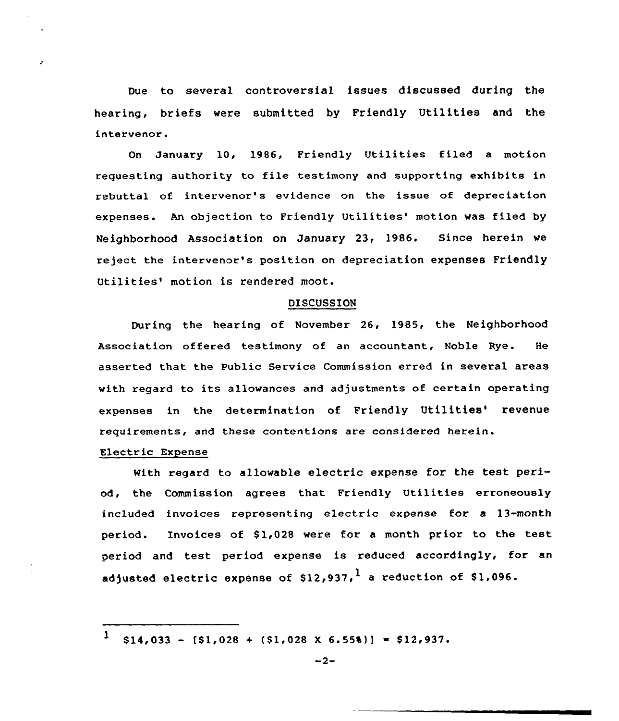Due to several controversial issues discussed during the hearing, briefs were submitted by Friendly Utilities and the intervenor.

On January 10, 1986, Friendly Utilities filed a motion requesting authority to file testimony and supporting exhibits in rebuttal of intervenor's evidence on the issue of depreciation expenses. An objection to Friendly Utilities' motion was filed by Neighborhood Association on January 23, 1986. Since herein we reject the intervenor's position on depreciation expenses Friendly Utilities' motion is rendered moot.

#### DISCUSSION

During the hearing of November 26, 1985, the Neighborhood Association offered testimony of an accountant, Noble Rye. He asserted that the Public Service Commission erred in several areas with regard to its allowances and adjustments of certain operating expenses in the determination of Friendly Utilities' revenue requirements, and these contentions are considered herein.

# Electric Expense

with regard to allowable electric expense for the test period, the Commission agrees that Friendly Utilities erroneously included invoices representing electric expense for a 13-month period. Invoices of \$1,028 were for a month prior to the test period and test period expense is reduced accordingly, for an adjusted electric expense of  $$12,937$ , a reduction of \$1,096.

 $\mathbf{1}$  $$14,033 - [51,028 + (51,028 \times 6.558)] = $12,937$ .

 $-2-$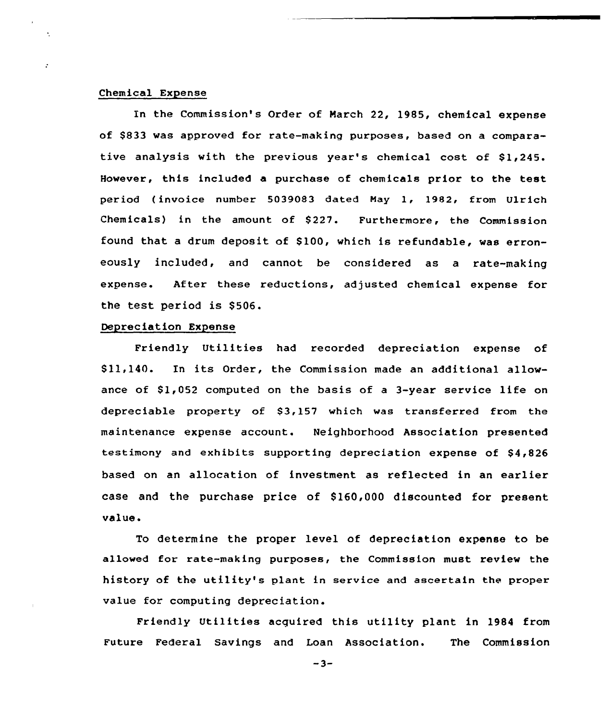## Chemical Expense

 $\mathbf{r}$ 

In the Commission's Order of March 22, 1985, chemical expense of \$833 was approved for rate-making purposes, based on a comparative analysis with the previous year's chemical cost of \$1,245. However, this included a purchase of chemicals prior to the test period (invoice number 5039083 dated May 1, 1982, from Ulrich Chemicals) in the amount of \$227. Furthermore, the Commission found that a drum deposit of \$100, which is refundable, was erroneously included, and cannot be considered as a rate-making expense. After these reductions, adjusted chemical expense for the test period is \$506.

# Depreciation Expense

Friendly Utilities had recorded depreciation expense of \$ 11,140. In its Order, the Commission made an additional allowance of  $$1,052$  computed on the basis of a 3-year service life on depreciable property of 83,157 which was transferred from the maintenance expense account. Neighborhood Association presented testimony and exhibits supporting depreciation expense of \$4,826 based on an allocation of investment as reflected in an earlier case and the purchase price of \$160,000 discounted for present value.

To determine the proper level of depreciation expense to be allowed for rate-making purposes, the Commission must review the history of the utility's plant in service and ascertain the proper value for computing depreciation.

Friendly Utilities acguired this utility plant in 1984 from Future Federal Savings and Loan Association. The Commission

 $-3-$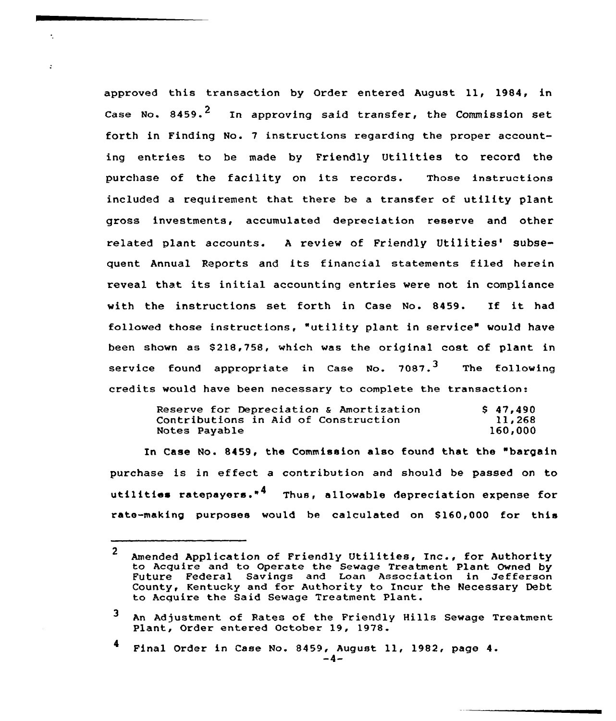approved this transaction by Order entered August ll, 1984, in Case No. 8459. $^2$  In approving said transfer, the Commission set forth in Finding No. 7 instructions regarding the proper accounting entries to be made by Friendly Utilities to record the purchase of the facility on its records. Those instructions included a requirement that there be a transfer of utility plant gross investments, accumulated depreciation reserve and other related plant accounts. A review of Friendly Utilities' subsequent Annual Reports and its financial statements filed herein reveal that its initial accounting entries were not in compliance with the instructions set forth in Case No. 8459. If it had followed those instructions, "utility plant in service" would have been shown as 8218,758, which was the original cost of plant in service found appropriate in Case No.  $7087.^3$  The following credits would have been necessary to complete the transaction:

 $\bullet$ 

| Reserve for Depreciation & Amortization | \$47.490 |
|-----------------------------------------|----------|
| Contributions in Aid of Construction    | 11,268   |
| Notes Payable                           | 160,000  |

In Case No. 8459, the Commission also found that the "bargain purchase is in effect <sup>a</sup> contribution and should be passed on to utilities ratepayers."<sup>4</sup> Thus, allowable depreciation expense for rate-making purposes would be calculated on \$160,000 for this

<sup>2</sup> Amended Application of Friendly Utilities, Inc., for Authority to Acquire and to Operate the Sewage Treatment Plant Owned by Future Federal Savings and Loan Association in Jefferson County, Kentucky and for Authority to Incur the Necessary Debt to Acquire the Said Sewage Treatment Plant.

<sup>3</sup> An Adjustment of Rates of the Friendly Hills Sewage Treatment Plant, Order entered October 19, 1978.

Final Order in Case No. 8459, August 11, 1982, page 4.<br>-4-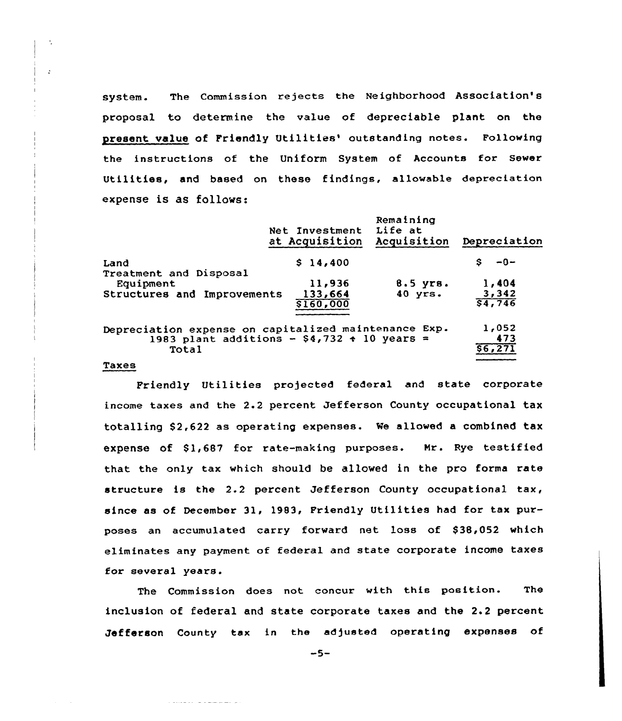system. The Commission rejects the Neighborhood Association's proposal to determine the value of depreciable plant on the present value of Friendly Utilities' outstanding notes. Following the instructions of the Uniform System of Accounts for Sewer Utilities, and based on these findings, allowable depreciation expense is as follows:

|                                                      | Net Investment<br>at Acquisition | Remaining<br>Life at<br>Acquisition | Depreciation    |
|------------------------------------------------------|----------------------------------|-------------------------------------|-----------------|
| Land                                                 | \$14,400                         |                                     | $-0-$           |
| Treatment and Disposal<br>Equipment                  | 11,936                           | $8.5$ yrs.                          | 1,404           |
| Structures and Improvements                          | 133,664<br>\$160,000             | $40$ yrs.                           | 3,342<br>54,746 |
|                                                      |                                  |                                     |                 |
| Depreciation expense on capitalized maintenance Exp. |                                  |                                     | 1,052           |
| 1983 plant additions - $$4,732 \div 10$ years =      |                                  |                                     | 473             |
| Total                                                |                                  |                                     | \$6,271         |
|                                                      |                                  |                                     |                 |

#### Taxes

 $\mathcal{A}_1$ 

 $\mathbf{r}$ 

Friendly Utilities projected federal and state corporate income taxes and the 2.2 percent Jefferson County occupational tax totalling \$2,622 as operating expenses. We allowed a combined tax expense of Sl,687 for rate-making purposes. Nr. Rye testified that the only tax which should be allowed in the pro forma rate structure is the 2.2 percent Jefferson County occupational tax, since as of December 31, 1983, Friendly Utilities had for tax purposes an accumulated carry forward net loss of \$38,052 which eliminates any payment of federal and state corporate income taxes for several years.

The Commission does not concur with this position. The inclusion of federal and state corporate taxes and the 2.2 percent Jefferson County tax in the adjusted operating expenses of

 $-5-$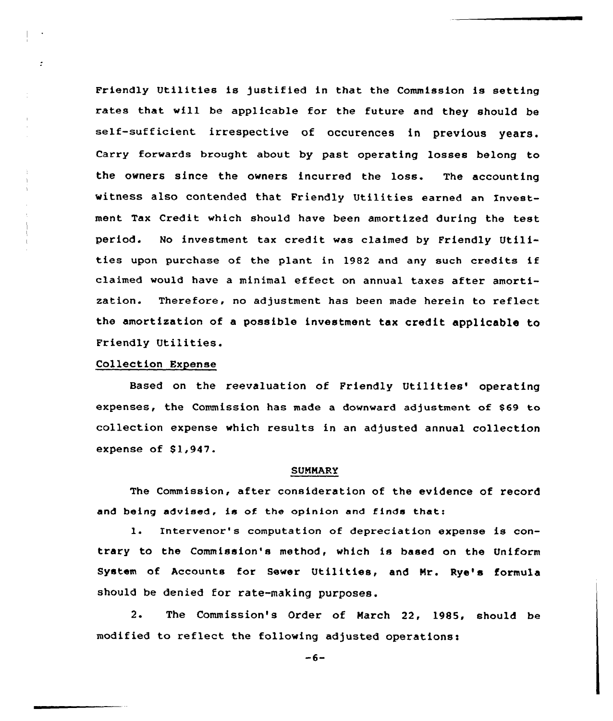Friendly Utilities is justified in that the Commission is setting rates that will be applicable for the future and they should be self-sufficient irrespective of occurences in previous years. Carry forwards brought about by past operating losses belong to the owners since the owners incurred the loss. The accounting witness also contended that Friendly Utilities earned an Investment Tax Credit which should have been amortized during the test period. No investment tax credit was claimed by Friendly Utilities upon purchase of the plant in 1982 and any such credits if claimed would have <sup>a</sup> minimal effect on annual taxes after amortization. Therefore, no adjustment has been made herein to reflect the amortization of <sup>a</sup> possible investment tax credit applicable to Friendly Utilities.

# Collection Expense

 $\cdot$ 

Based on the reevaluation of Friendly Utilities' operating expenses, the Commission has made a downward adjustment of \$69 to collection expense which results in an adjusted annual collection expense of Sl,947.

### SUMMARY

The Commission, after consideration of the evidence of record and being advised, is of. the opinion and finds that:

1. Intervenor's computation of depreciation expense is contrary to the Commission's method, which is baaed on the Uniform System of Accounts for Sewer Utilities, and Mr. Rye's formula should be denied for rate-making purposes.

2. The Commission's Order of March 22, 1985, should be modified to reflect the following adjusted operations:

 $-6-$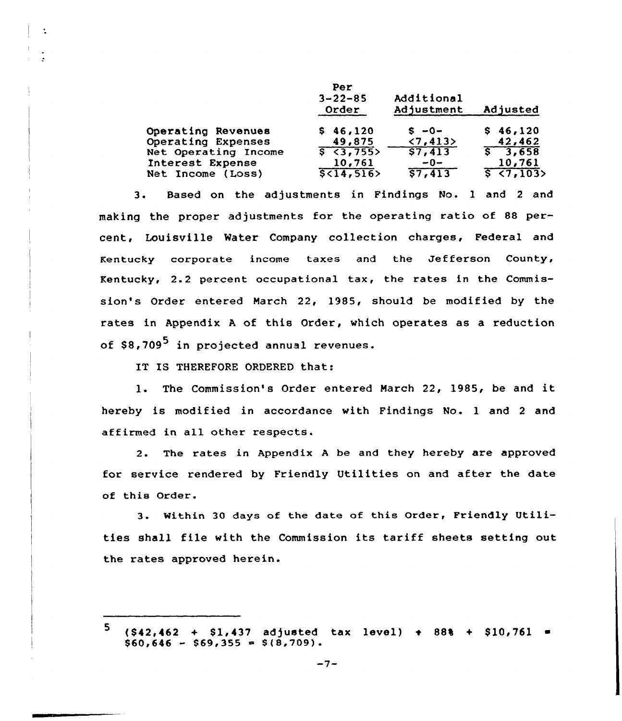|                      | Per<br>$3 - 22 - 85$<br>Order | Additional<br>Adjustment | Adjusted         |
|----------------------|-------------------------------|--------------------------|------------------|
| Operating Revenues   | \$46,120                      | $s - 0 -$                | \$46,120         |
| Operating Expenses   | 49,875                        | $\langle 7, 413 \rangle$ | 42,462           |
| Net Operating Income | $\sqrt{5}$ < 3,755>           | 57,413                   | 5, 3, 658        |
| Interest Expense     | 10,761                        | $-0-$                    | 10,761           |
| Net Income (Loss)    | 5(14, 516)                    | 57,413                   | $5 \times 7,103$ |

3. Based on the adjustments in Findings No. <sup>1</sup> and <sup>2</sup> and making the proper adjustments for the operating ratio of 88 percent, Louisville Mater Company collection charges, Federal and Kentucky corporate income taxes and the Jefferson County, Kentucky, 2.2 percent occupational tax, the rates in the Commission's Order entered March 22, 1985, should be modified by the rates in Appendix <sup>A</sup> of this Order, which operates as a reduction of  $$8,709^5$  in projected annual revenues.

IT IS THEREFORE ORDERED that:

÷

1. The Commission's Order entered March 22, 1985, be and it hereby is modified in accordance with Findings No. <sup>1</sup> and <sup>2</sup> and affirmed in all other respects.

2. The rates in Appendix <sup>A</sup> be and they hereby are approved for service rendered by Friendly Utilities on and after the date of this Order.

3. Within <sup>30</sup> days of the date of this Order, Friendly Utilities shall file with the Commission its tariff sheets setting out the rates approved herein.

<sup>5</sup>  $($ \$42,462 + \$1,437 adjusted tax level) + 88% + \$10,761 =  $$60,646 - $69,355 = $(8,709)$ .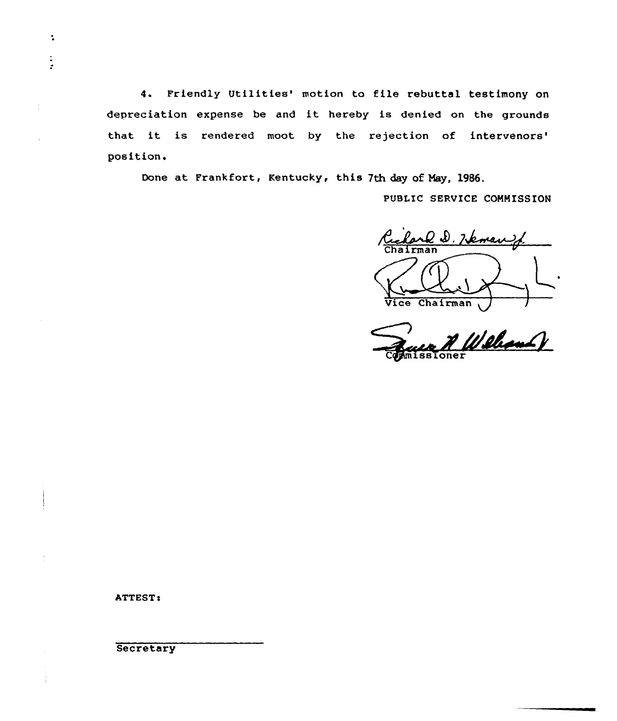4. Friendly Utilities' motion to file rebuttal testimony on depreciation expense be and it hereby is denied on the grounds that it is rendered moot by the rejection of intervenors' position.

Done at Frankfort, Kentucky, this 7th day of Nay, 1986.

PUBLIC SERVICE COMMISSION

Richard D. Heman Vice Chairman

<u>A Welcom V</u>

ATTEST!

 $\ddot{\phantom{a}}$ 

 $\frac{1}{2}$ 

ĵ.

**Secretary**